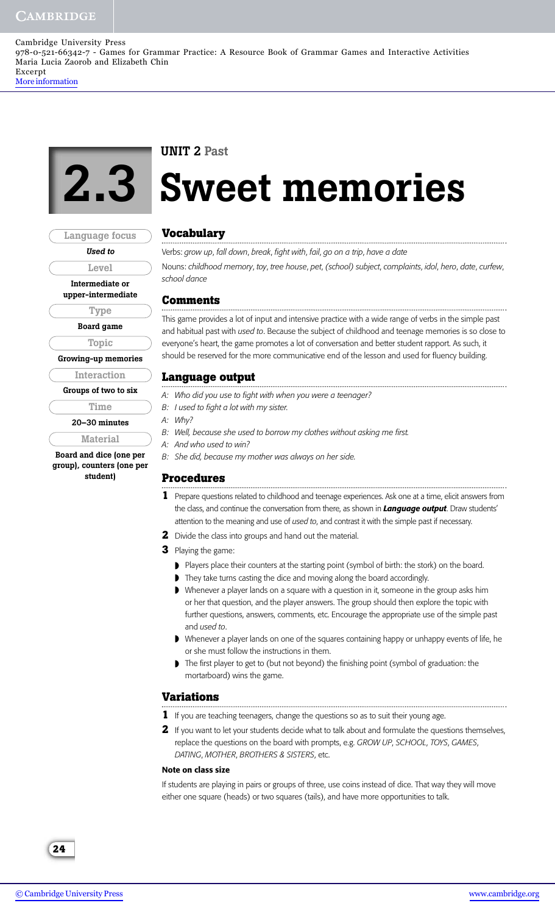#### Cambridge University Press

978-0-521-66342-7 - Games for Grammar Practice: A Resource Book of Grammar Games and Interactive Activities Maria Lucia Zaorob and Elizabeth Chin Excerpt

[More information](http://www.cambridge.org/0521663423)

### **Language focus**

#### *Used to*

**Level**

**Intermediate or upper-intermediate**

**Type**

**Board game**

**Topic**

**Growing-up memories**

# **Interaction**

**Groups of two to six Time**

**20–30 minutes**

**Material**

**Board and dice (one per group), counters (one per student)**

# **UNIT 2 Past**

# **2.3 Sweet memories**

# **Vocabulary**

Verbs: *grow up*, *fall down*, *break*, *fight with*, *fail*, *go on a trip*, *have a date*

Nouns: *childhood memory*, *toy*, *tree house*, *pet*, *(school) subject*, *complaints*, *idol*, *hero*, *date*, *curfew*, *school dance*

#### **Comments**

This game provides a lot of input and intensive practice with a wide range of verbs in the simple past and habitual past with *used to*. Because the subject of childhood and teenage memories is so close to everyone's heart, the game promotes a lot of conversation and better student rapport. As such, it should be reserved for the more communicative end of the lesson and used for fluency building.

# **Language output**

- *A: Who did you use to fight with when you were a teenager?*
- *B: I used to fight a lot with my sister.*
- *A: Why?*
- *B: Well, because she used to borrow my clothes without asking me first.*
- *A: And who used to win?*
- *B: She did, because my mother was always on her side.*

# **Procedures**

- **1** Prepare questions related to childhood and teenage experiences. Ask one at a time, elicit answers from the class, and continue the conversation from there, as shown in *Language output*. Draw students' attention to the meaning and use of *used to*, and contrast it with the simple past if necessary.
- **2** Divide the class into groups and hand out the material.
- **3** Playing the game:
	- ◗ Players place their counters at the starting point (symbol of birth: the stork) on the board.
	- ◗ They take turns casting the dice and moving along the board accordingly.
	- ◗ Whenever a player lands on a square with a question in it, someone in the group asks him or her that question, and the player answers. The group should then explore the topic with further questions, answers, comments, etc. Encourage the appropriate use of the simple past and *used to*.
	- ◗ Whenever a player lands on one of the squares containing happy or unhappy events of life, he or she must follow the instructions in them.
	- The first player to get to (but not beyond) the finishing point (symbol of graduation: the mortarboard) wins the game.

# **Variations**

- **1** If you are teaching teenagers, change the questions so as to suit their young age.
- **2** If you want to let your students decide what to talk about and formulate the questions themselves, replace the questions on the board with prompts, e.g. *GROW UP*, *SCHOOL*, *TOYS*, *GAMES*, *DATING*, *MOTHER*, *BROTHERS & SISTERS*, etc.

If students are playing in pairs or groups of three, use coins instead of dice. That way they will move either one square (heads) or two squares (tails), and have more opportunities to talk.

**24**